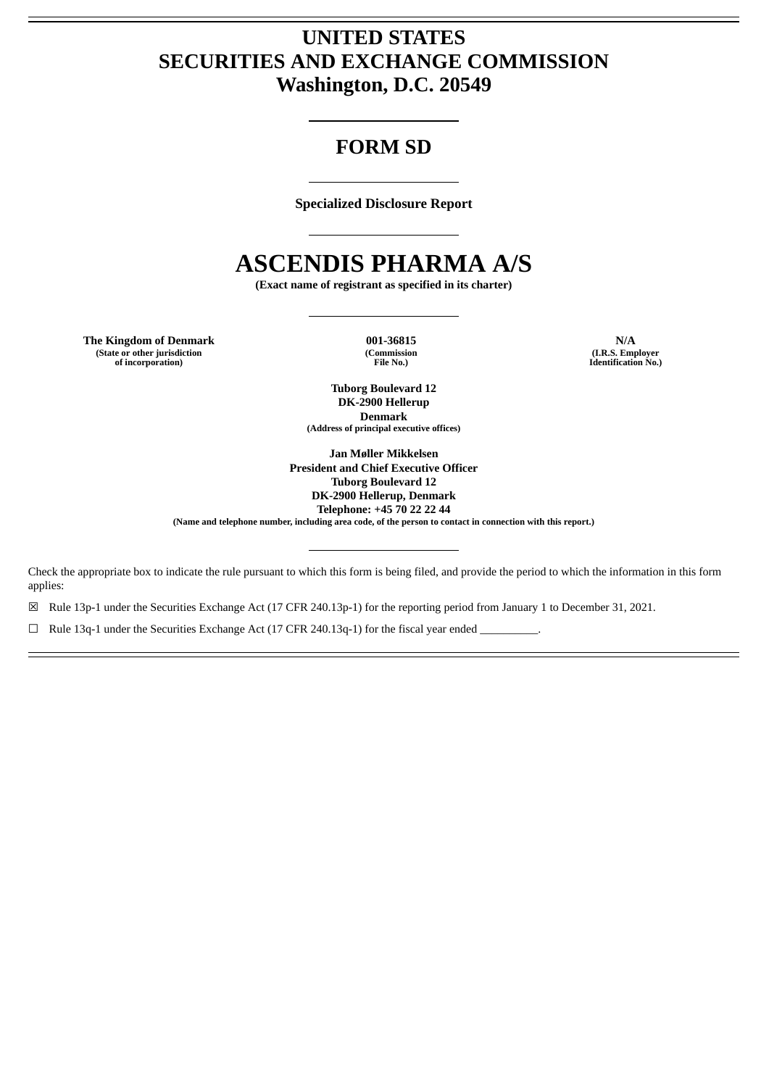# **UNITED STATES SECURITIES AND EXCHANGE COMMISSION Washington, D.C. 20549**

# **FORM SD**

**Specialized Disclosure Report**

# **ASCENDIS PHARMA A/S**

**(Exact name of registrant as specified in its charter)**

**The Kingdom of Denmark 001-36815 N/A (State or other jurisdiction of incorporation)**

**(Commission File No.)**

**(I.R.S. Employer Identification No.)**

**Tuborg Boulevard 12 DK-2900 Hellerup Denmark (Address of principal executive offices)**

**Jan Møller Mikkelsen President and Chief Executive Officer Tuborg Boulevard 12 DK-2900 Hellerup, Denmark Telephone: +45 70 22 22 44**

(Name and telephone number, including area code, of the person to contact in connection with this report.)

Check the appropriate box to indicate the rule pursuant to which this form is being filed, and provide the period to which the information in this form applies:

☒ Rule 13p-1 under the Securities Exchange Act (17 CFR 240.13p-1) for the reporting period from January 1 to December 31, 2021.

 $\Box$  Rule 13q-1 under the Securities Exchange Act (17 CFR 240.13q-1) for the fiscal year ended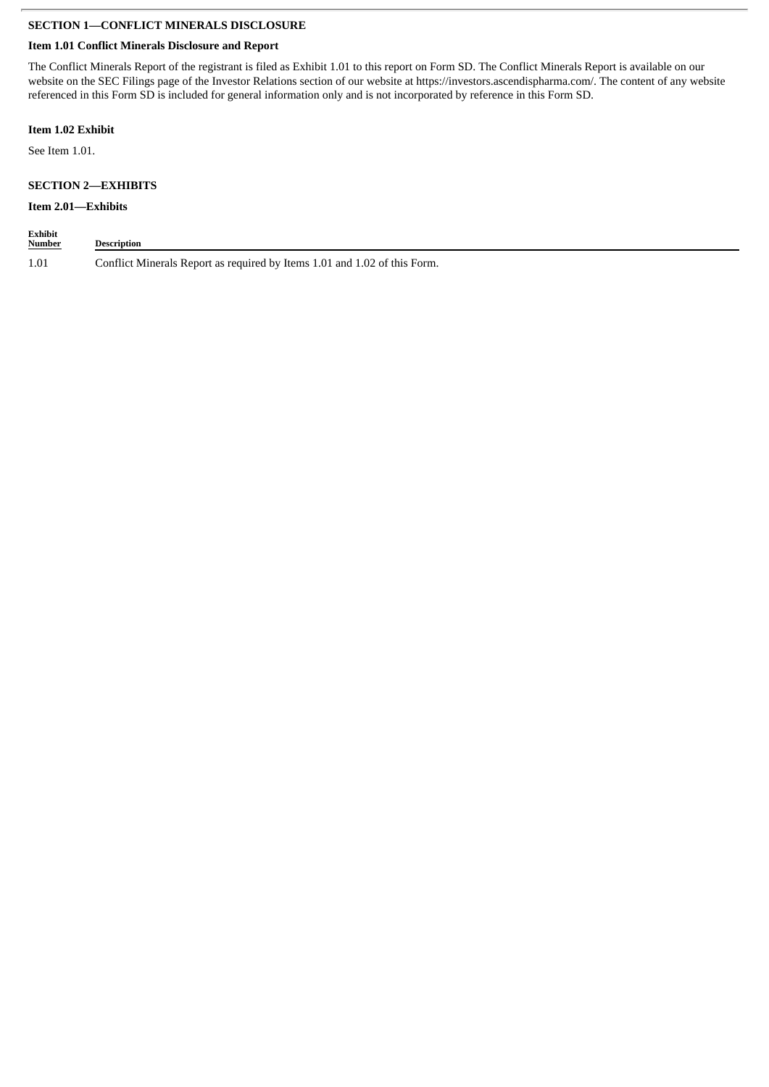## **SECTION 1—CONFLICT MINERALS DISCLOSURE**

## **Item 1.01 Conflict Minerals Disclosure and Report**

The Conflict Minerals Report of the registrant is filed as Exhibit 1.01 to this report on Form SD. The Conflict Minerals Report is available on our website on the SEC Filings page of the Investor Relations section of our website at https://investors.ascendispharma.com/. The content of any website referenced in this Form SD is included for general information only and is not incorporated by reference in this Form SD.

### **Item 1.02 Exhibit**

See Item 1.01.

# **SECTION 2—EXHIBITS**

# **Item 2.01—Exhibits**

| <b>Exhibit</b><br><b>Number</b> | Description                                                               |
|---------------------------------|---------------------------------------------------------------------------|
| 1.01                            | Conflict Minerals Report as required by Items 1.01 and 1.02 of this Form. |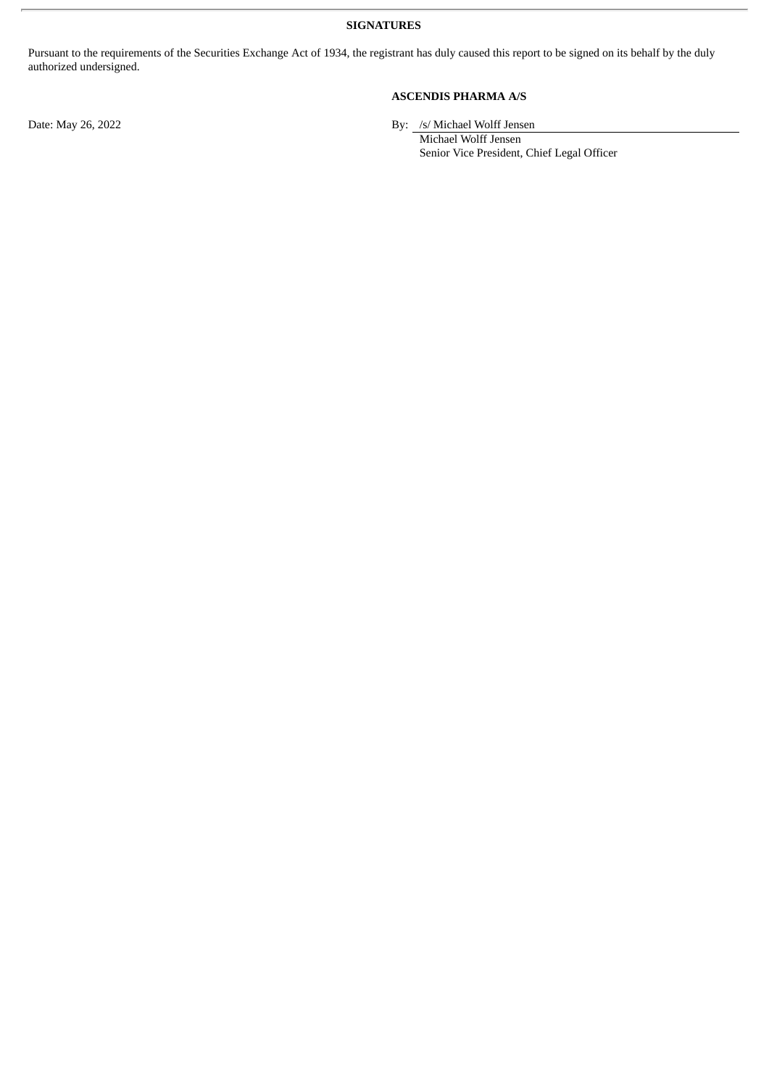**SIGNATURES**

Pursuant to the requirements of the Securities Exchange Act of 1934, the registrant has duly caused this report to be signed on its behalf by the duly authorized undersigned.

**ASCENDIS PHARMA A/S**

Date: May 26, 2022 By: /s/ Michael Wolff Jensen

Michael Wolff Jensen Senior Vice President, Chief Legal Officer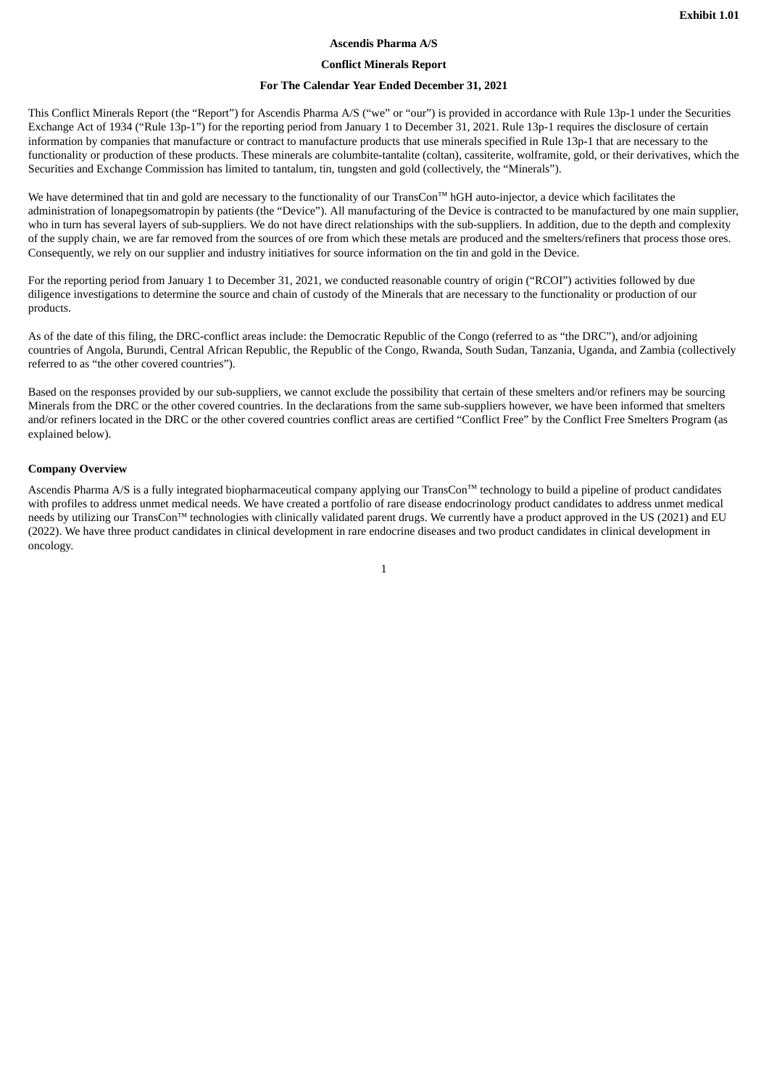#### **Ascendis Pharma A/S**

#### **Conflict Minerals Report**

#### **For The Calendar Year Ended December 31, 2021**

This Conflict Minerals Report (the "Report") for Ascendis Pharma A/S ("we" or "our") is provided in accordance with Rule 13p-1 under the Securities Exchange Act of 1934 ("Rule 13p-1") for the reporting period from January 1 to December 31, 2021. Rule 13p-1 requires the disclosure of certain information by companies that manufacture or contract to manufacture products that use minerals specified in Rule 13p-1 that are necessary to the functionality or production of these products. These minerals are columbite-tantalite (coltan), cassiterite, wolframite, gold, or their derivatives, which the Securities and Exchange Commission has limited to tantalum, tin, tungsten and gold (collectively, the "Minerals").

We have determined that tin and gold are necessary to the functionality of our TransCon™ hGH auto-injector, a device which facilitates the administration of lonapegsomatropin by patients (the "Device"). All manufacturing of the Device is contracted to be manufactured by one main supplier, who in turn has several layers of sub-suppliers. We do not have direct relationships with the sub-suppliers. In addition, due to the depth and complexity of the supply chain, we are far removed from the sources of ore from which these metals are produced and the smelters/refiners that process those ores. Consequently, we rely on our supplier and industry initiatives for source information on the tin and gold in the Device.

For the reporting period from January 1 to December 31, 2021, we conducted reasonable country of origin ("RCOI") activities followed by due diligence investigations to determine the source and chain of custody of the Minerals that are necessary to the functionality or production of our products.

As of the date of this filing, the DRC-conflict areas include: the Democratic Republic of the Congo (referred to as "the DRC"), and/or adjoining countries of Angola, Burundi, Central African Republic, the Republic of the Congo, Rwanda, South Sudan, Tanzania, Uganda, and Zambia (collectively referred to as "the other covered countries").

Based on the responses provided by our sub-suppliers, we cannot exclude the possibility that certain of these smelters and/or refiners may be sourcing Minerals from the DRC or the other covered countries. In the declarations from the same sub-suppliers however, we have been informed that smelters and/or refiners located in the DRC or the other covered countries conflict areas are certified "Conflict Free" by the Conflict Free Smelters Program (as explained below).

#### **Company Overview**

Ascendis Pharma A/S is a fully integrated biopharmaceutical company applying our TransCon™ technology to build a pipeline of product candidates with profiles to address unmet medical needs. We have created a portfolio of rare disease endocrinology product candidates to address unmet medical needs by utilizing our TransCon™ technologies with clinically validated parent drugs. We currently have a product approved in the US (2021) and EU (2022). We have three product candidates in clinical development in rare endocrine diseases and two product candidates in clinical development in oncology.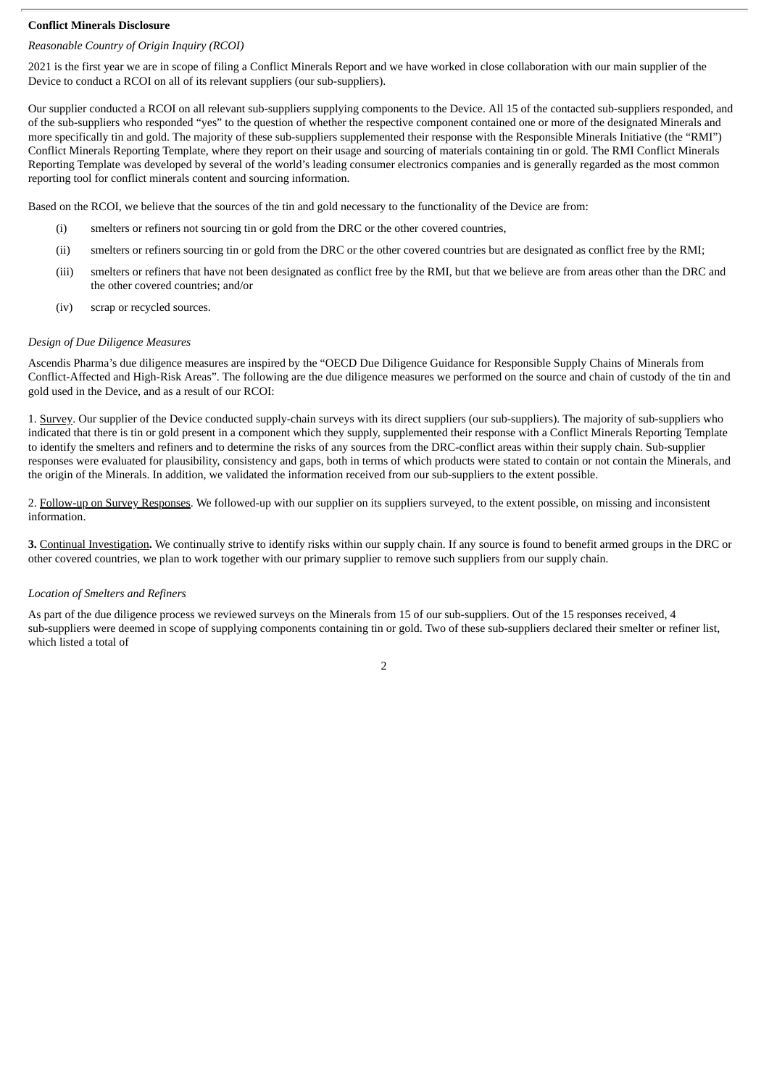#### **Conflict Minerals Disclosure**

# *Reasonable Country of Origin Inquiry (RCOI)*

2021 is the first year we are in scope of filing a Conflict Minerals Report and we have worked in close collaboration with our main supplier of the Device to conduct a RCOI on all of its relevant suppliers (our sub-suppliers).

Our supplier conducted a RCOI on all relevant sub-suppliers supplying components to the Device. All 15 of the contacted sub-suppliers responded, and of the sub-suppliers who responded "yes" to the question of whether the respective component contained one or more of the designated Minerals and more specifically tin and gold. The majority of these sub-suppliers supplemented their response with the Responsible Minerals Initiative (the "RMI") Conflict Minerals Reporting Template, where they report on their usage and sourcing of materials containing tin or gold. The RMI Conflict Minerals Reporting Template was developed by several of the world's leading consumer electronics companies and is generally regarded as the most common reporting tool for conflict minerals content and sourcing information.

Based on the RCOI, we believe that the sources of the tin and gold necessary to the functionality of the Device are from:

- (i) smelters or refiners not sourcing tin or gold from the DRC or the other covered countries,
- (ii) smelters or refiners sourcing tin or gold from the DRC or the other covered countries but are designated as conflict free by the RMI;
- (iii) smelters or refiners that have not been designated as conflict free by the RMI, but that we believe are from areas other than the DRC and the other covered countries; and/or
- (iv) scrap or recycled sources.

#### *Design of Due Diligence Measures*

Ascendis Pharma's due diligence measures are inspired by the "OECD Due Diligence Guidance for Responsible Supply Chains of Minerals from Conflict-Affected and High-Risk Areas". The following are the due diligence measures we performed on the source and chain of custody of the tin and gold used in the Device, and as a result of our RCOI:

1. Survey. Our supplier of the Device conducted supply-chain surveys with its direct suppliers (our sub-suppliers). The majority of sub-suppliers who indicated that there is tin or gold present in a component which they supply, supplemented their response with a Conflict Minerals Reporting Template to identify the smelters and refiners and to determine the risks of any sources from the DRC-conflict areas within their supply chain. Sub-supplier responses were evaluated for plausibility, consistency and gaps, both in terms of which products were stated to contain or not contain the Minerals, and the origin of the Minerals. In addition, we validated the information received from our sub-suppliers to the extent possible.

2. Follow-up on Survey Responses. We followed-up with our supplier on its suppliers surveyed, to the extent possible, on missing and inconsistent information.

**3.** Continual Investigation**.** We continually strive to identify risks within our supply chain. If any source is found to benefit armed groups in the DRC or other covered countries, we plan to work together with our primary supplier to remove such suppliers from our supply chain.

#### *Location of Smelters and Refiners*

As part of the due diligence process we reviewed surveys on the Minerals from 15 of our sub-suppliers. Out of the 15 responses received, 4 sub-suppliers were deemed in scope of supplying components containing tin or gold. Two of these sub-suppliers declared their smelter or refiner list, which listed a total of

2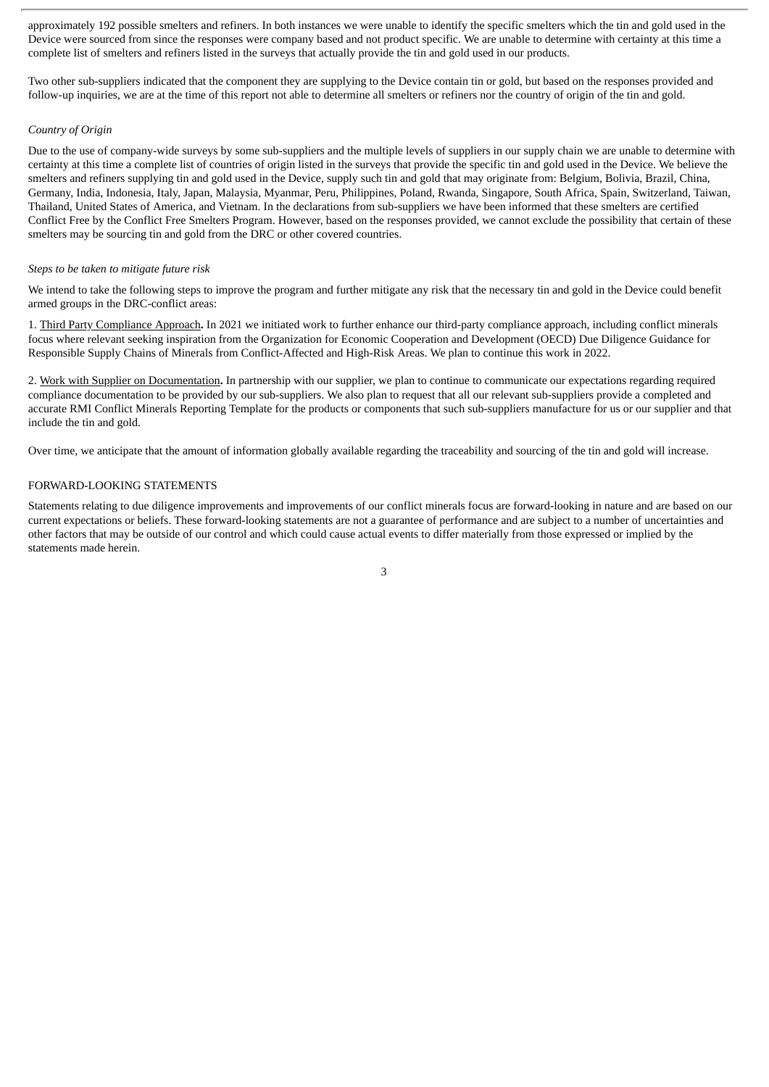approximately 192 possible smelters and refiners. In both instances we were unable to identify the specific smelters which the tin and gold used in the Device were sourced from since the responses were company based and not product specific. We are unable to determine with certainty at this time a complete list of smelters and refiners listed in the surveys that actually provide the tin and gold used in our products.

Two other sub-suppliers indicated that the component they are supplying to the Device contain tin or gold, but based on the responses provided and follow-up inquiries, we are at the time of this report not able to determine all smelters or refiners nor the country of origin of the tin and gold.

#### *Country of Origin*

Due to the use of company-wide surveys by some sub-suppliers and the multiple levels of suppliers in our supply chain we are unable to determine with certainty at this time a complete list of countries of origin listed in the surveys that provide the specific tin and gold used in the Device. We believe the smelters and refiners supplying tin and gold used in the Device, supply such tin and gold that may originate from: Belgium, Bolivia, Brazil, China, Germany, India, Indonesia, Italy, Japan, Malaysia, Myanmar, Peru, Philippines, Poland, Rwanda, Singapore, South Africa, Spain, Switzerland, Taiwan, Thailand, United States of America, and Vietnam. In the declarations from sub-suppliers we have been informed that these smelters are certified Conflict Free by the Conflict Free Smelters Program. However, based on the responses provided, we cannot exclude the possibility that certain of these smelters may be sourcing tin and gold from the DRC or other covered countries.

#### *Steps to be taken to mitigate future risk*

We intend to take the following steps to improve the program and further mitigate any risk that the necessary tin and gold in the Device could benefit armed groups in the DRC-conflict areas:

1. Third Party Compliance Approach**.** In 2021 we initiated work to further enhance our third-party compliance approach, including conflict minerals focus where relevant seeking inspiration from the Organization for Economic Cooperation and Development (OECD) Due Diligence Guidance for Responsible Supply Chains of Minerals from Conflict-Affected and High-Risk Areas. We plan to continue this work in 2022.

2. Work with Supplier on Documentation**.** In partnership with our supplier, we plan to continue to communicate our expectations regarding required compliance documentation to be provided by our sub-suppliers. We also plan to request that all our relevant sub-suppliers provide a completed and accurate RMI Conflict Minerals Reporting Template for the products or components that such sub-suppliers manufacture for us or our supplier and that include the tin and gold.

Over time, we anticipate that the amount of information globally available regarding the traceability and sourcing of the tin and gold will increase.

#### FORWARD-LOOKING STATEMENTS

Statements relating to due diligence improvements and improvements of our conflict minerals focus are forward-looking in nature and are based on our current expectations or beliefs. These forward-looking statements are not a guarantee of performance and are subject to a number of uncertainties and other factors that may be outside of our control and which could cause actual events to differ materially from those expressed or implied by the statements made herein.

3